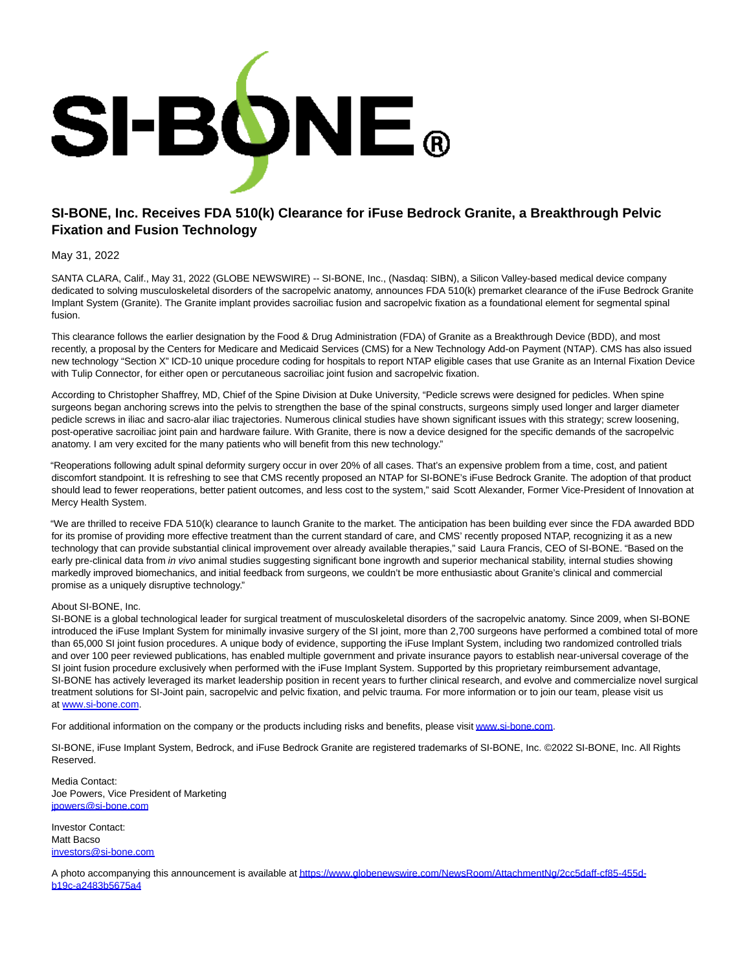

## **SI-BONE, Inc. Receives FDA 510(k) Clearance for iFuse Bedrock Granite, a Breakthrough Pelvic Fixation and Fusion Technology**

## May 31, 2022

SANTA CLARA, Calif., May 31, 2022 (GLOBE NEWSWIRE) -- SI-BONE, Inc., (Nasdaq: SIBN), a Silicon Valley-based medical device company dedicated to solving musculoskeletal disorders of the sacropelvic anatomy, announces FDA 510(k) premarket clearance of the iFuse Bedrock Granite Implant System (Granite). The Granite implant provides sacroiliac fusion and sacropelvic fixation as a foundational element for segmental spinal fusion.

This clearance follows the earlier designation by the Food & Drug Administration (FDA) of Granite as a Breakthrough Device (BDD), and most recently, a proposal by the Centers for Medicare and Medicaid Services (CMS) for a New Technology Add-on Payment (NTAP). CMS has also issued new technology "Section X" ICD-10 unique procedure coding for hospitals to report NTAP eligible cases that use Granite as an Internal Fixation Device with Tulip Connector, for either open or percutaneous sacroiliac joint fusion and sacropelvic fixation.

According to Christopher Shaffrey, MD, Chief of the Spine Division at Duke University, "Pedicle screws were designed for pedicles. When spine surgeons began anchoring screws into the pelvis to strengthen the base of the spinal constructs, surgeons simply used longer and larger diameter pedicle screws in iliac and sacro-alar iliac trajectories. Numerous clinical studies have shown significant issues with this strategy; screw loosening, post-operative sacroiliac joint pain and hardware failure. With Granite, there is now a device designed for the specific demands of the sacropelvic anatomy. I am very excited for the many patients who will benefit from this new technology."

"Reoperations following adult spinal deformity surgery occur in over 20% of all cases. That's an expensive problem from a time, cost, and patient discomfort standpoint. It is refreshing to see that CMS recently proposed an NTAP for SI-BONE's iFuse Bedrock Granite. The adoption of that product should lead to fewer reoperations, better patient outcomes, and less cost to the system," said Scott Alexander, Former Vice-President of Innovation at Mercy Health System.

"We are thrilled to receive FDA 510(k) clearance to launch Granite to the market. The anticipation has been building ever since the FDA awarded BDD for its promise of providing more effective treatment than the current standard of care, and CMS' recently proposed NTAP, recognizing it as a new technology that can provide substantial clinical improvement over already available therapies," said Laura Francis, CEO of SI-BONE. "Based on the early pre-clinical data from in vivo animal studies suggesting significant bone ingrowth and superior mechanical stability, internal studies showing markedly improved biomechanics, and initial feedback from surgeons, we couldn't be more enthusiastic about Granite's clinical and commercial promise as a uniquely disruptive technology."

## About SI-BONE, Inc.

SI-BONE is a global technological leader for surgical treatment of musculoskeletal disorders of the sacropelvic anatomy. Since 2009, when SI-BONE introduced the iFuse Implant System for minimally invasive surgery of the SI joint, more than 2,700 surgeons have performed a combined total of more than 65,000 SI joint fusion procedures. A unique body of evidence, supporting the iFuse Implant System, including two randomized controlled trials and over 100 peer reviewed publications, has enabled multiple government and private insurance payors to establish near-universal coverage of the SI joint fusion procedure exclusively when performed with the iFuse Implant System. Supported by this proprietary reimbursement advantage, SI-BONE has actively leveraged its market leadership position in recent years to further clinical research, and evolve and commercialize novel surgical treatment solutions for SI-Joint pain, sacropelvic and pelvic fixation, and pelvic trauma. For more information or to join our team, please visit us at [www.si-bone.com.](https://www.globenewswire.com/Tracker?data=wtf7DY22u2jq8_NsLzYtAxTiDy1tH54wBb3UoD_TSu91L1Q2YfthV3OxySwQy4vc_BHiXljEgKndiQ02jKNK5Q==)

For additional information on the company or the products including risks and benefits, please visi[t www.si-bone.com.](https://www.globenewswire.com/Tracker?data=wtf7DY22u2jq8_NsLzYtA3bAj0_kfzSfSJu9OIVTTveyNJUsjqyFU8omwTjW_Av2sSq7OqG-iNdTN4sj87gCFA==)

SI-BONE, iFuse Implant System, Bedrock, and iFuse Bedrock Granite are registered trademarks of SI-BONE, Inc. ©2022 SI-BONE, Inc. All Rights Reserved.

Media Contact: Joe Powers, Vice President of Marketing [jpowers@si-bone.com](https://www.globenewswire.com/Tracker?data=Q5xNQsHIbFt4RpgtI0Z68BJGH2SVM_Zj-GdHD6nzRj0zkhIiC1GuuGpzUadosic1TnW6NQe9Z2fV5rkp6xHgtj1zpqiu2wHS034_o8FWWF0=)

Investor Contact: Matt Bacso [investors@si-bone.com](https://www.globenewswire.com/Tracker?data=-jA4235vhtXOh00uSDh_NlHh_MCdSgGR9S1RTaby138Hxc2F8C-WAoj3rclJERBLsv-3waiJBmkT60bDLKwkJDCLQiTsa08nt0lBHgNcUZY=)

A photo accompanying this announcement is available a[t https://www.globenewswire.com/NewsRoom/AttachmentNg/2cc5daff-cf85-455d](https://www.globenewswire.com/Tracker?data=bu2AsdhzmxVbORUr0q268eNmdwOnvv9Hd-ywnvOwD8HZaxxfL-a_XGsRXc6lyBqYMmbRv7L0M1_RwU1f2xtxI7t08OKzIDAfpfJCNMfKlHzlwODFZeFfCy1eS3oBaMcT8srauNPTApF6-rauazfGajP_Fz8gPr_S7BADeLvmvvZZY30sPkBRgjC-EhePEuyiK02m23Z1zaEmILWzCRzhBbfoNaVXWnEUVuCzgK7DCmHjlJjygkdDsAfWjfgCxksJ0zccUCE3PBYUArWqOC5Oig==)b19c-a2483b5675a4